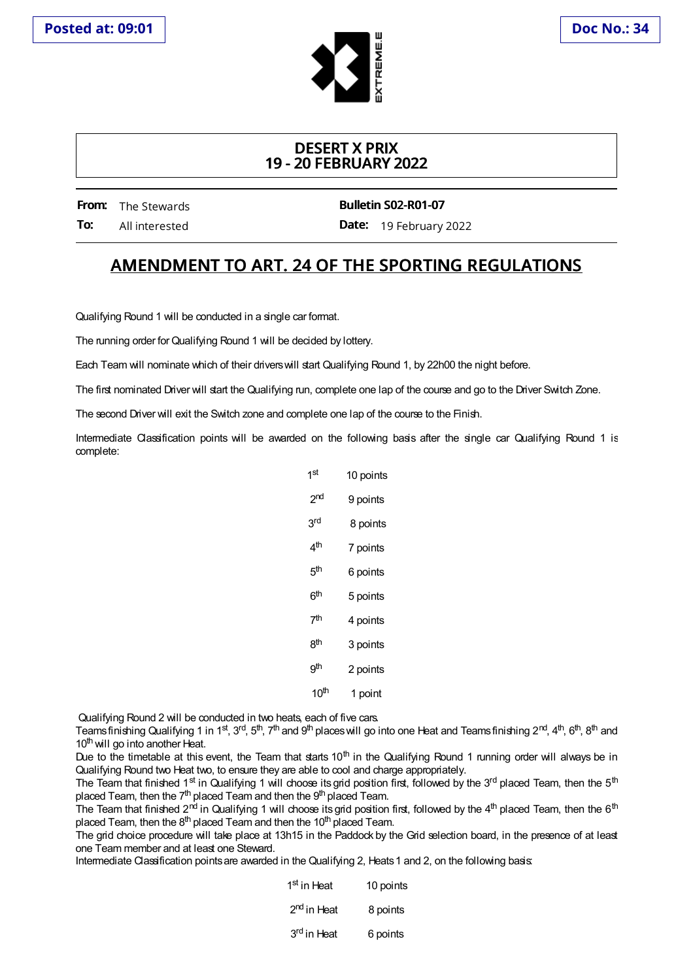

## **DESERT X PRIX 19 - 20 FEBRUARY 2022**

**From:** The Stewards **To:** All interested **Bulletin S02-R01-07**

**Date:** 19 February 2022

## **AMENDMENT TO ART. 24 OF THE SPORTING REGULATIONS**

Qualifying Round 1 will be conducted in a single car format.

The running order for Qualifying Round 1 will be decided by lottery.

Each Team will nominate which of their driverswill start Qualifying Round 1, by 22h00 the night before.

The first nominated Driver will start the Qualifying run, complete one lap of the course and go to the Driver Switch Zone.

The second Driver will exit the Switch zone and complete one lap of the course to the Finish.

Intermediate Classification points will be awarded on the following basis after the single car Qualifying Round 1 is complete:

| 1st              | 10 points |
|------------------|-----------|
| 2nd              | 9 points  |
| 3rd              | 8 points  |
| 4 <sup>th</sup>  | 7 points  |
| 5th              | 6 points  |
| ნth              | 5 points  |
| 7th              | 4 points  |
| gth              | 3 points  |
| qth              | 2 points  |
| 10 <sup>th</sup> | 1 point   |

Qualifying Round 2 will be conducted in two heats, each of five cars.

Teamsfinishing Qualifying 1 in 1<sup>st</sup>, 3<sup>rd</sup>, 5<sup>th</sup>, 7<sup>th</sup> and 9<sup>th</sup> places will go into one Heat and Teamsfinishing 2<sup>nd</sup>, 4<sup>th</sup>, 6<sup>th</sup>, 8<sup>th</sup> and 10<sup>th</sup> will go into another Heat.

Due to the timetable at this event, the Team that starts 10<sup>th</sup> in the Qualifying Round 1 running order will always be in Qualifying Round two Heat two, to ensure they are able to cool and charge appropriately.

The Team that finished 1<sup>st</sup> in Qualifying 1 will choose its grid position first, followed by the 3<sup>rd</sup> placed Team, then the 5<sup>th</sup> placed Team, then the 7<sup>th</sup> placed Team and then the 9<sup>th</sup> placed Team.

The Team that finished 2<sup>nd</sup> in Qualifying 1 will choose its grid position first, followed by the 4<sup>th</sup> placed Team, then the 6<sup>th</sup> placed Team, then the 8<sup>th</sup> placed Team and then the 10<sup>th</sup> placed Team.

The grid choice procedure will take place at 13h15 in the Paddock by the Grid selection board, in the presence of at least one Team member and at least one Steward.

Intermediate Classification points are awarded in the Qualifying 2, Heats 1 and 2, on the following basis:

| 1 <sup>st</sup> in Heat | 10 points |
|-------------------------|-----------|
| 2 <sup>nd</sup> in Heat | 8 points  |
| 3 <sup>rd</sup> in Heat | 6 points  |